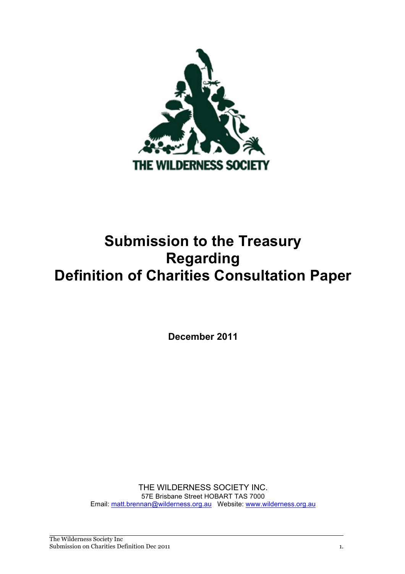

# **Submission to the Treasury Definition of Charities Consultation Paper Regarding**

 **December 2011** 

 57E Brisbane Street HOBART TAS 7000 THE WILDERNESS SOCIETY INC. Email: matt.brennan@wilderness.org.au Website: www.wilderness.org.au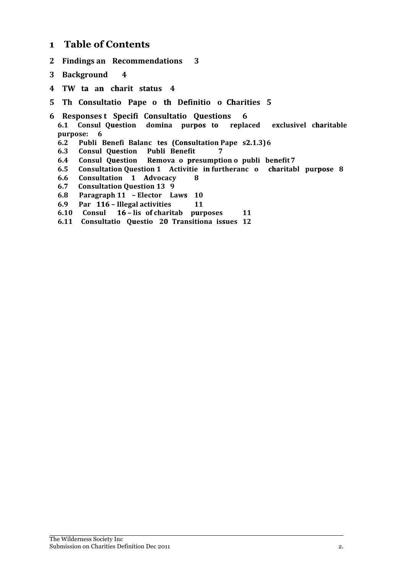#### **1 Table of Contents**

- **2 Findings an Recommendations 3**
- **3 Background 4**
- **4 TW ta an charit status 4**
- **5 Th Consultatio Pape o th Definitio o Charities 5**
- **6 Responses t Specifi Consultatio Questions 6**
	- **6.1 Consul Question domina purpos to replaced exclusivel charitable purpose: 6**
	- **6.2 Publi Benefi Balanc tes (Consultation Pape s2.1.3)6**
	- **6.3 Consul Question Publi Benefit 7**
	- **6.4 Consul Question Remova o presumption o publi benefit 7**
	- **6.5 Consultation Question 1 Activitie in furtheranc o charitabl purpose 8**
	- **6.6 Consultation 1 Advocacy 8**
	- **6.7 Consultation Question 13 9**
	- **6.8 Paragraph 11 – Elector Laws 10**
	- **6.9 Par 116 – Illegal activities 11**
	- **6.10 Consul 16 – lis of charitab purposes 11**
	- **6.11 Consultatio Questio 20 Transitiona issues 12**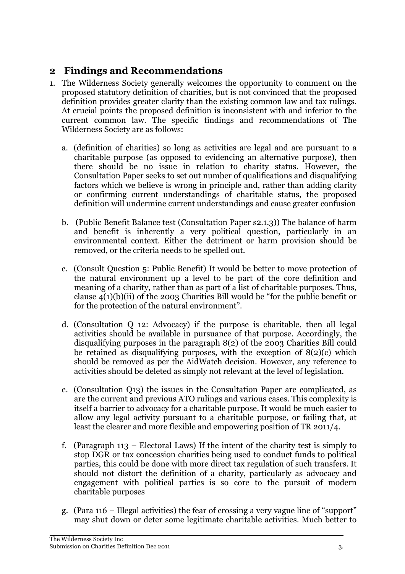# **2 Findings and Recommendations**

- 1. The Wilderness Society generally welcomes the opportunity to comment on the proposed statutory definition of charities, but is not convinced that the proposed definition provides greater clarity than the existing common law and tax rulings. At crucial points the proposed definition is inconsistent with and inferior to the current common law. The specific findings and recommendations of The Wilderness Society are as follows:
	- a. (definition of charities) so long as activities are legal and are pursuant to a charitable purpose (as opposed to evidencing an alternative purpose), then there should be no issue in relation to charity status. However, the Consultation Paper seeks to set out number of qualifications and disqualifying factors which we believe is wrong in principle and, rather than adding clarity or confirming current understandings of charitable status, the proposed definition will undermine current understandings and cause greater confusion
	- b. (Public Benefit Balance test (Consultation Paper s2.1.3)) The balance of harm and benefit is inherently a very political question, particularly in an environmental context. Either the detriment or harm provision should be removed, or the criteria needs to be spelled out.
	- c. (Consult Question 5: Public Benefit) It would be better to move protection of the natural environment up a level to be part of the core definition and meaning of a charity, rather than as part of a list of charitable purposes. Thus, clause 4(1)(b)(ii) of the 2003 Charities Bill would be "for the public benefit or for the protection of the natural environment".
	- d. (Consultation Q 12: Advocacy) if the purpose is charitable, then all legal activities should be available in pursuance of that purpose. Accordingly, the disqualifying purposes in the paragraph 8(2) of the 2003 Charities Bill could be retained as disqualifying purposes, with the exception of 8(2)(c) which should be removed as per the AidWatch decision. However, any reference to activities should be deleted as simply not relevant at the level of legislation.
	- e. (Consultation Q13) the issues in the Consultation Paper are complicated, as are the current and previous ATO rulings and various cases. This complexity is itself a barrier to advocacy for a charitable purpose. It would be much easier to allow any legal activity pursuant to a charitable purpose, or failing that, at least the clearer and more flexible and empowering position of TR 2011/4.
	- f. (Paragraph 113 Electoral Laws) If the intent of the charity test is simply to stop DGR or tax concession charities being used to conduct funds to political parties, this could be done with more direct tax regulation of such transfers. It should not distort the definition of a charity, particularly as advocacy and engagement with political parties is so core to the pursuit of modern charitable purposes
	- g. (Para 116 Illegal activities) the fear of crossing a very vague line of "support" may shut down or deter some legitimate charitable activities. Much better to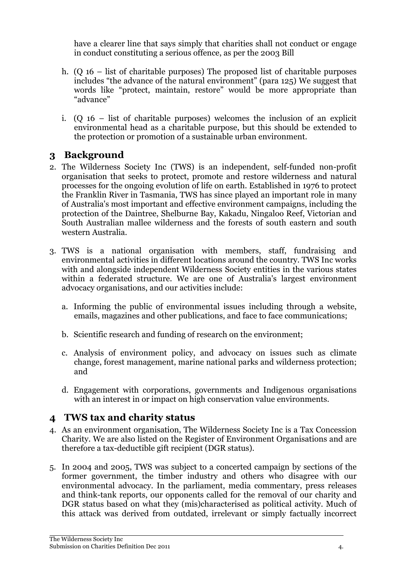have a clearer line that says simply that charities shall not conduct or engage in conduct constituting a serious offence, as per the 2003 Bill

- h. (Q 16 list of charitable purposes) The proposed list of charitable purposes includes "the advance of the natural environment" (para 125) We suggest that words like "protect, maintain, restore" would be more appropriate than "advance"
- i. (Q 16 list of charitable purposes) welcomes the inclusion of an explicit environmental head as a charitable purpose, but this should be extended to the protection or promotion of a sustainable urban environment.

# **3 Background**

- 2. The Wilderness Society Inc (TWS) is an independent, self-funded non-profit organisation that seeks to protect, promote and restore wilderness and natural processes for the ongoing evolution of life on earth. Established in 1976 to protect the Franklin River in Tasmania, TWS has since played an important role in many of Australia's most important and effective environment campaigns, including the protection of the Daintree, Shelburne Bay, Kakadu, Ningaloo Reef, Victorian and South Australian mallee wilderness and the forests of south eastern and south western Australia.
- 3. TWS is a national organisation with members, staff, fundraising and environmental activities in different locations around the country. TWS Inc works with and alongside independent Wilderness Society entities in the various states within a federated structure. We are one of Australia's largest environment advocacy organisations, and our activities include:
	- a. Informing the public of environmental issues including through a website, emails, magazines and other publications, and face to face communications;
	- b. Scientific research and funding of research on the environment;
	- c. Analysis of environment policy, and advocacy on issues such as climate change, forest management, marine national parks and wilderness protection; and
	- d. Engagement with corporations, governments and Indigenous organisations with an interest in or impact on high conservation value environments.

# **4 TWS tax and charity status**

- 4. As an environment organisation, The Wilderness Society Inc is a Tax Concession Charity. We are also listed on the Register of Environment Organisations and are therefore a tax-deductible gift recipient (DGR status).
- 5. In 2004 and 2005, TWS was subject to a concerted campaign by sections of the former government, the timber industry and others who disagree with our environmental advocacy. In the parliament, media commentary, press releases and think-tank reports, our opponents called for the removal of our charity and DGR status based on what they (mis)characterised as political activity. Much of this attack was derived from outdated, irrelevant or simply factually incorrect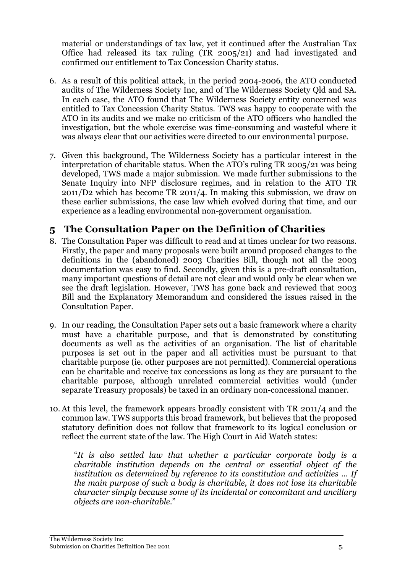material or understandings of tax law, yet it continued after the Australian Tax Office had released its tax ruling (TR 2005/21) and had investigated and confirmed our entitlement to Tax Concession Charity status.

- 6. As a result of this political attack, in the period 2004-2006, the ATO conducted audits of The Wilderness Society Inc, and of The Wilderness Society Qld and SA. In each case, the ATO found that The Wilderness Society entity concerned was entitled to Tax Concession Charity Status. TWS was happy to cooperate with the ATO in its audits and we make no criticism of the ATO officers who handled the investigation, but the whole exercise was time-consuming and wasteful where it was always clear that our activities were directed to our environmental purpose.
- 7. Given this background, The Wilderness Society has a particular interest in the interpretation of charitable status. When the ATO's ruling TR 2005/21 was being developed, TWS made a major submission. We made further submissions to the Senate Inquiry into NFP disclosure regimes, and in relation to the ATO TR 2011/D2 which has become TR 2011/4. In making this submission, we draw on these earlier submissions, the case law which evolved during that time, and our experience as a leading environmental non-government organisation.

# **5 The Consultation Paper on the Definition of Charities**

- 8. The Consultation Paper was difficult to read and at times unclear for two reasons. Firstly, the paper and many proposals were built around proposed changes to the definitions in the (abandoned) 2003 Charities Bill, though not all the 2003 documentation was easy to find. Secondly, given this is a pre-draft consultation, many important questions of detail are not clear and would only be clear when we see the draft legislation. However, TWS has gone back and reviewed that 2003 Bill and the Explanatory Memorandum and considered the issues raised in the Consultation Paper.
- 9. In our reading, the Consultation Paper sets out a basic framework where a charity must have a charitable purpose, and that is demonstrated by constituting documents as well as the activities of an organisation. The list of charitable purposes is set out in the paper and all activities must be pursuant to that charitable purpose (ie. other purposes are not permitted). Commercial operations can be charitable and receive tax concessions as long as they are pursuant to the charitable purpose, although unrelated commercial activities would (under separate Treasury proposals) be taxed in an ordinary non-concessional manner.
- 10. At this level, the framework appears broadly consistent with TR 2011/4 and the common law. TWS supports this broad framework, but believes that the proposed statutory definition does not follow that framework to its logical conclusion or reflect the current state of the law. The High Court in Aid Watch states:

 "*It is also settled law that whether a particular corporate body is a charitable institution depends on the central or essential object of the institution as determined by reference to its constitution and activities ... If the main purpose of such a body is charitable, it does not lose its charitable character simply because some of its incidental or concomitant and ancillary objects are non-charitable*."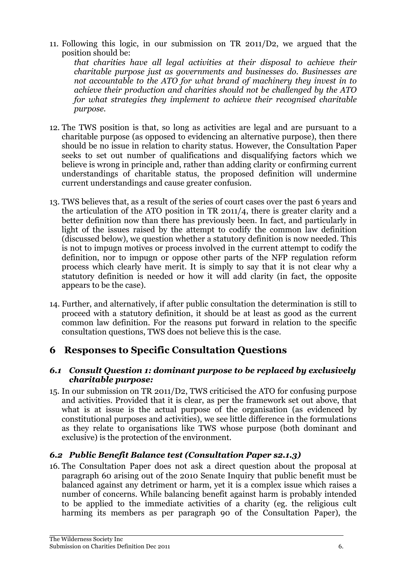11. Following this logic, in our submission on TR 2011/D2, we argued that the position should be:

 *charitable purpose just as governments and businesses do. Businesses are not accountable to the ATO for what brand of machinery they invest in to for what strategies they implement to achieve their recognised charitable that charities have all legal activities at their disposal to achieve their achieve their production and charities should not be challenged by the ATO purpose.* 

- 12. The TWS position is that, so long as activities are legal and are pursuant to a charitable purpose (as opposed to evidencing an alternative purpose), then there should be no issue in relation to charity status. However, the Consultation Paper seeks to set out number of qualifications and disqualifying factors which we believe is wrong in principle and, rather than adding clarity or confirming current understandings of charitable status, the proposed definition will undermine current understandings and cause greater confusion.
- 13. TWS believes that, as a result of the series of court cases over the past 6 years and the articulation of the ATO position in TR 2011/4, there is greater clarity and a better definition now than there has previously been. In fact, and particularly in light of the issues raised by the attempt to codify the common law definition (discussed below), we question whether a statutory definition is now needed. This is not to impugn motives or process involved in the current attempt to codify the definition, nor to impugn or oppose other parts of the NFP regulation reform process which clearly have merit. It is simply to say that it is not clear why a statutory definition is needed or how it will add clarity (in fact, the opposite appears to be the case).
- 14. Further, and alternatively, if after public consultation the determination is still to proceed with a statutory definition, it should be at least as good as the current common law definition. For the reasons put forward in relation to the specific consultation questions, TWS does not believe this is the case.

# **6 Responses to Specific Consultation Questions**

#### *6.1 Consult Question 1: dominant purpose to be replaced by exclusively charitable purpose:*

 15. In our submission on TR 2011/D2, TWS criticised the ATO for confusing purpose and activities. Provided that it is clear, as per the framework set out above, that what is at issue is the actual purpose of the organisation (as evidenced by constitutional purposes and activities), we see little difference in the formulations as they relate to organisations like TWS whose purpose (both dominant and exclusive) is the protection of the environment.

### *6.2 Public Benefit Balance test (Consultation Paper s2.1.3)*

 16. The Consultation Paper does not ask a direct question about the proposal at paragraph 60 arising out of the 2010 Senate Inquiry that public benefit must be balanced against any detriment or harm, yet it is a complex issue which raises a number of concerns. While balancing benefit against harm is probably intended to be applied to the immediate activities of a charity (eg. the religious cult harming its members as per paragraph 90 of the Consultation Paper), the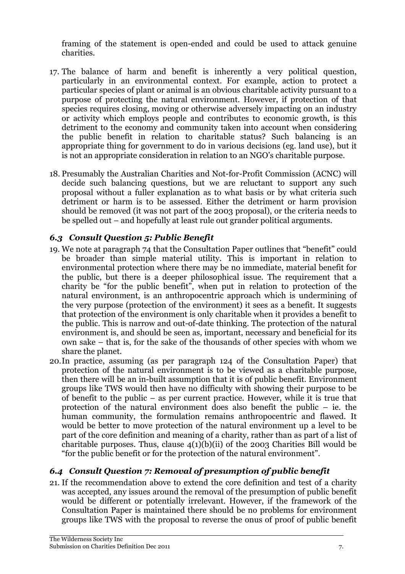framing of the statement is open-ended and could be used to attack genuine charities.

- charities.<br>17. The balance of harm and benefit is inherently a very political question, particularly in an environmental context. For example, action to protect a particular species of plant or animal is an obvious charitable activity pursuant to a purpose of protecting the natural environment. However, if protection of that species requires closing, moving or otherwise adversely impacting on an industry or activity which employs people and contributes to economic growth, is this detriment to the economy and community taken into account when considering the public benefit in relation to charitable status? Such balancing is an appropriate thing for government to do in various decisions (eg. land use), but it is not an appropriate consideration in relation to an NGO's charitable purpose.
- 18. Presumably the Australian Charities and Not-for-Profit Commission (ACNC) will decide such balancing questions, but we are reluctant to support any such proposal without a fuller explanation as to what basis or by what criteria such detriment or harm is to be assessed. Either the detriment or harm provision should be removed (it was not part of the 2003 proposal), or the criteria needs to be spelled out – and hopefully at least rule out grander political arguments.

## *6.3 Consult Question 5: Public Benefit*

- 19. We note at paragraph 74 that the Consultation Paper outlines that "benefit" could be broader than simple material utility. This is important in relation to environmental protection where there may be no immediate, material benefit for the public, but there is a deeper philosophical issue. The requirement that a charity be "for the public benefit", when put in relation to protection of the natural environment, is an anthropocentric approach which is undermining of the very purpose (protection of the environment) it sees as a benefit. It suggests that protection of the environment is only charitable when it provides a benefit to the public. This is narrow and out-of-date thinking. The protection of the natural environment is, and should be seen as, important, necessary and beneficial for its own sake – that is, for the sake of the thousands of other species with whom we share the planet.
- 20.In practice, assuming (as per paragraph 124 of the Consultation Paper) that protection of the natural environment is to be viewed as a charitable purpose, then there will be an in-built assumption that it is of public benefit. Environment groups like TWS would then have no difficulty with showing their purpose to be of benefit to the public – as per current practice. However, while it is true that protection of the natural environment does also benefit the public – ie. the human community, the formulation remains anthropocentric and flawed. It would be better to move protection of the natural environment up a level to be part of the core definition and meaning of a charity, rather than as part of a list of charitable purposes. Thus, clause  $4(1)(b)(ii)$  of the 2003 Charities Bill would be "for the public benefit or for the protection of the natural environment".

# *6.4 Consult Question 7: Removal of presumption of public benefit*

 21. If the recommendation above to extend the core definition and test of a charity was accepted, any issues around the removal of the presumption of public benefit would be different or potentially irrelevant. However, if the framework of the Consultation Paper is maintained there should be no problems for environment groups like TWS with the proposal to reverse the onus of proof of public benefit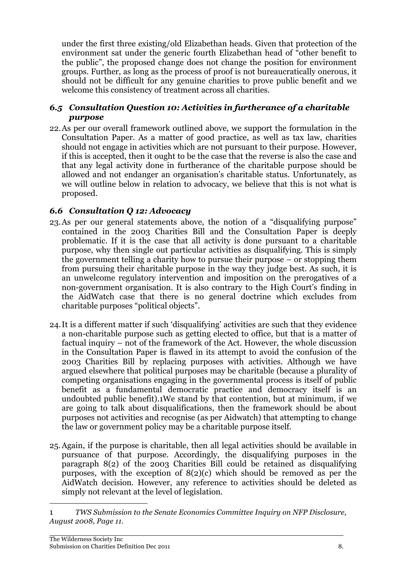under the first three existing/old Elizabethan heads. Given that protection of the environment sat under the generic fourth Elizabethan head of "other benefit to the public", the proposed change does not change the position for environment groups. Further, as long as the process of proof is not bureaucratically onerous, it should not be difficult for any genuine charities to prove public benefit and we welcome this consistency of treatment across all charities.

#### *6.5 Consultation Question 10: Activities in furtherance of a charitable purpose*

 22.As per our overall framework outlined above, we support the formulation in the Consultation Paper. As a matter of good practice, as well as tax law, charities should not engage in activities which are not pursuant to their purpose. However, if this is accepted, then it ought to be the case that the reverse is also the case and that any legal activity done in furtherance of the charitable purpose should be allowed and not endanger an organisation's charitable status. Unfortunately, as we will outline below in relation to advocacy, we believe that this is not what is proposed.

## *6.6 Consultation Q 12: Advocacy*

- 23. As per our general statements above, the notion of a "disqualifying purpose" contained in the 2003 Charities Bill and the Consultation Paper is deeply problematic. If it is the case that all activity is done pursuant to a charitable purpose, why then single out particular activities as disqualifying. This is simply the government telling a charity how to pursue their purpose – or stopping them from pursuing their charitable purpose in the way they judge best. As such, it is an unwelcome regulatory intervention and imposition on the prerogatives of a non-government organisation. It is also contrary to the High Court's finding in the AidWatch case that there is no general doctrine which excludes from charitable purposes "political objects".
- 24.It is a different matter if such 'disqualifying' activities are such that they evidence a non-charitable purpose such as getting elected to office, but that is a matter of factual inquiry – not of the framework of the Act. However, the whole discussion in the Consultation Paper is flawed in its attempt to avoid the confusion of the 2003 Charities Bill by replacing purposes with activities. Although we have argued elsewhere that political purposes may be charitable (because a plurality of competing organisations engaging in the governmental process is itself of public benefit as a fundamental democratic practice and democracy itself is an undoubted public benefit).1We stand by that contention, but at minimum, if we are going to talk about disqualifications, then the framework should be about purposes not activities and recognise (as per Aidwatch) that attempting to change the law or government policy may be a charitable purpose itself.
- 25. Again, if the purpose is charitable, then all legal activities should be available in pursuance of that purpose. Accordingly, the disqualifying purposes in the paragraph 8(2) of the 2003 Charities Bill could be retained as disqualifying purposes, with the exception of 8(2)(c) which should be removed as per the AidWatch decision. However, any reference to activities should be deleted as simply not relevant at the level of legislation.

 $\overline{a}$ 

 $\mathbf 1$ 1 *TWS Submission to the Senate Economics Committee Inquiry on NFP Disclosure, August 2008, Page 11.*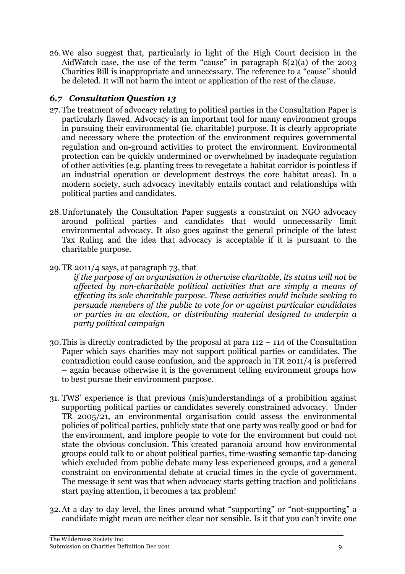26.We also suggest that, particularly in light of the High Court decision in the AidWatch case, the use of the term "cause" in paragraph 8(2)(a) of the 2003 Charities Bill is inappropriate and unnecessary. The reference to a "cause" should be deleted. It will not harm the intent or application of the rest of the clause.

## *6.7 Consultation Question 13*

- 27. The treatment of advocacy relating to political parties in the Consultation Paper is particularly flawed. Advocacy is an important tool for many environment groups in pursuing their environmental (ie. charitable) purpose. It is clearly appropriate and necessary where the protection of the environment requires governmental regulation and on-ground activities to protect the environment. Environmental protection can be quickly undermined or overwhelmed by inadequate regulation of other activities (e.g. planting trees to revegetate a habitat corridor is pointless if an industrial operation or development destroys the core habitat areas). In a modern society, such advocacy inevitably entails contact and relationships with political parties and candidates.
- 28.Unfortunately the Consultation Paper suggests a constraint on NGO advocacy around political parties and candidates that would unnecessarily limit environmental advocacy. It also goes against the general principle of the latest Tax Ruling and the idea that advocacy is acceptable if it is pursuant to the charitable purpose.
- 29.TR 2011/4 says, at paragraph 73, that

 *if the purpose of an organisation is otherwise charitable, its status will not be affected by non-charitable political activities that are simply a means of effecting its sole charitable purpose. These activities could include seeking to persuade members of the public to vote for or against particular candidates or parties in an election, or distributing material designed to underpin a party political campaign* 

- 30.This is directly contradicted by the proposal at para 112 114 of the Consultation Paper which says charities may not support political parties or candidates. The contradiction could cause confusion, and the approach in TR 2011/4 is preferred – again because otherwise it is the government telling environment groups how to best pursue their environment purpose.
- 31. TWS' experience is that previous (mis)understandings of a prohibition against supporting political parties or candidates severely constrained advocacy. Under TR 2005/21, an environmental organisation could assess the environmental policies of political parties, publicly state that one party was really good or bad for the environment, and implore people to vote for the environment but could not state the obvious conclusion. This created paranoia around how environmental groups could talk to or about political parties, time-wasting semantic tap-dancing which excluded from public debate many less experienced groups, and a general constraint on environmental debate at crucial times in the cycle of government. The message it sent was that when advocacy starts getting traction and politicians start paying attention, it becomes a tax problem!
- 32. At a day to day level, the lines around what "supporting" or "not-supporting" a candidate might mean are neither clear nor sensible. Is it that you can't invite one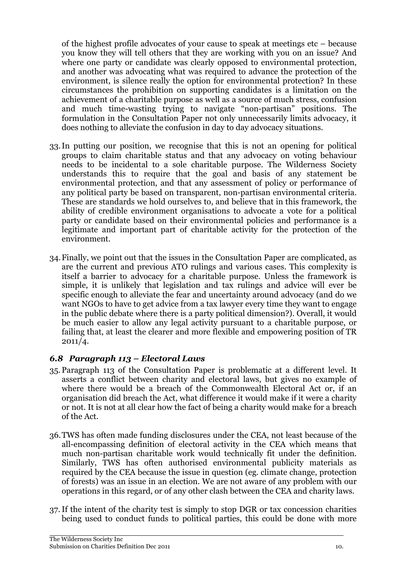of the highest profile advocates of your cause to speak at meetings etc – because you know they will tell others that they are working with you on an issue? And where one party or candidate was clearly opposed to environmental protection, and another was advocating what was required to advance the protection of the environment, is silence really the option for environmental protection? In these circumstances the prohibition on supporting candidates is a limitation on the achievement of a charitable purpose as well as a source of much stress, confusion and much time-wasting trying to navigate "non-partisan" positions. The formulation in the Consultation Paper not only unnecessarily limits advocacy, it does nothing to alleviate the confusion in day to day advocacy situations.

- 33. In putting our position, we recognise that this is not an opening for political groups to claim charitable status and that any advocacy on voting behaviour needs to be incidental to a sole charitable purpose. The Wilderness Society understands this to require that the goal and basis of any statement be environmental protection, and that any assessment of policy or performance of any political party be based on transparent, non-partisan environmental criteria. These are standards we hold ourselves to, and believe that in this framework, the ability of credible environment organisations to advocate a vote for a political party or candidate based on their environmental policies and performance is a legitimate and important part of charitable activity for the protection of the environment.
- 34.Finally, we point out that the issues in the Consultation Paper are complicated, as are the current and previous ATO rulings and various cases. This complexity is itself a barrier to advocacy for a charitable purpose. Unless the framework is simple, it is unlikely that legislation and tax rulings and advice will ever be specific enough to alleviate the fear and uncertainty around advocacy (and do we want NGOs to have to get advice from a tax lawyer every time they want to engage in the public debate where there is a party political dimension?). Overall, it would be much easier to allow any legal activity pursuant to a charitable purpose, or failing that, at least the clearer and more flexible and empowering position of TR  $2011/4.$

### *6.8 Paragraph 113 – Electoral Laws*

- 35. Paragraph 113 of the Consultation Paper is problematic at a different level. It asserts a conflict between charity and electoral laws, but gives no example of where there would be a breach of the Commonwealth Electoral Act or, if an organisation did breach the Act, what difference it would make if it were a charity or not. It is not at all clear how the fact of being a charity would make for a breach of the Act.
- 36.TWS has often made funding disclosures under the CEA, not least because of the all-encompassing definition of electoral activity in the CEA which means that much non-partisan charitable work would technically fit under the definition. Similarly, TWS has often authorised environmental publicity materials as required by the CEA because the issue in question (eg. climate change, protection of forests) was an issue in an election. We are not aware of any problem with our operations in this regard, or of any other clash between the CEA and charity laws.
- 37. If the intent of the charity test is simply to stop DGR or tax concession charities being used to conduct funds to political parties, this could be done with more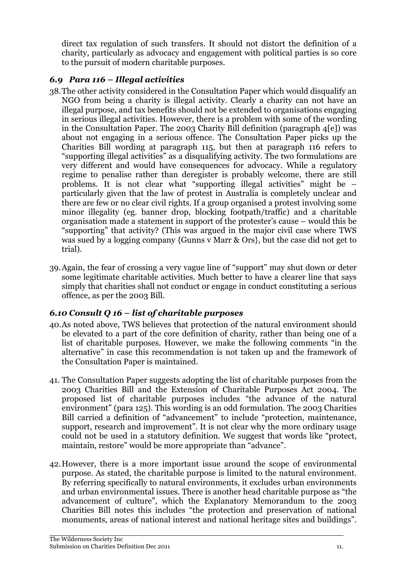direct tax regulation of such transfers. It should not distort the definition of a charity, particularly as advocacy and engagement with political parties is so core to the pursuit of modern charitable purposes.

## *6.9 Para 116 – Illegal activities*

- 38.The other activity considered in the Consultation Paper which would disqualify an NGO from being a charity is illegal activity. Clearly a charity can not have an illegal purpose, and tax benefits should not be extended to organisations engaging in serious illegal activities. However, there is a problem with some of the wording in the Consultation Paper. The 2003 Charity Bill definition (paragraph 4[e]) was about not engaging in a serious offence. The Consultation Paper picks up the Charities Bill wording at paragraph 115, but then at paragraph 116 refers to "supporting illegal activities" as a disqualifying activity. The two formulations are very different and would have consequences for advocacy. While a regulatory regime to penalise rather than deregister is probably welcome, there are still problems. It is not clear what "supporting illegal activities" might be – particularly given that the law of protest in Australia is completely unclear and there are few or no clear civil rights. If a group organised a protest involving some minor illegality (eg. banner drop, blocking footpath/traffic) and a charitable organisation made a statement in support of the protester's cause – would this be "supporting" that activity? (This was argued in the major civil case where TWS was sued by a logging company {Gunns v Marr & Ors}, but the case did not get to trial).
- trial). 39.Again, the fear of crossing a very vague line of "support" may shut down or deter some legitimate charitable activities. Much better to have a clearer line that says simply that charities shall not conduct or engage in conduct constituting a serious offence, as per the 2003 Bill.

### *6.10 Consult Q 16 – list of charitable purposes*

- 40.As noted above, TWS believes that protection of the natural environment should be elevated to a part of the core definition of charity, rather than being one of a list of charitable purposes. However, we make the following comments "in the alternative" in case this recommendation is not taken up and the framework of the Consultation Paper is maintained.
- 41. The Consultation Paper suggests adopting the list of charitable purposes from the 2003 Charities Bill and the Extension of Charitable Purposes Act 2004. The proposed list of charitable purposes includes "the advance of the natural environment" (para 125). This wording is an odd formulation. The 2003 Charities Bill carried a definition of "advancement" to include "protection, maintenance, support, research and improvement". It is not clear why the more ordinary usage could not be used in a statutory definition. We suggest that words like "protect, maintain, restore" would be more appropriate than "advance".
- 42.However, there is a more important issue around the scope of environmental purpose. As stated, the charitable purpose is limited to the natural environment. By referring specifically to natural environments, it excludes urban environments and urban environmental issues. There is another head charitable purpose as "the advancement of culture", which the Explanatory Memorandum to the 2003 Charities Bill notes this includes "the protection and preservation of national monuments, areas of national interest and national heritage sites and buildings".